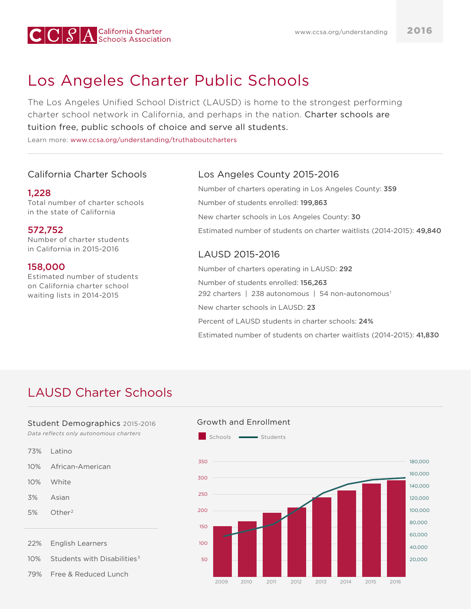

# Los Angeles Charter Public Schools

The Los Angeles Unified School District (LAUSD) is home to the strongest performing charter school network in California, and perhaps in the nation. Charter schools are tuition free, public schools of choice and serve all students.

Learn more: [www.ccsa.org/understanding/truthaboutcharters](http://www.ccsa.org/understanding/truthaboutcharters/)

# California Charter Schools

#### 1,228

Total number of charter schools in the state of California

### 572,752

Number of charter students in California in 2015-2016

### 158,000

Estimated number of students on California charter school waiting lists in 2014-2015

# Los Angeles County 2015-2016

Number of charters operating in Los Angeles County: 359 Number of students enrolled: 199,863 New charter schools in Los Angeles County: 30 Estimated number of students on charter waitlists (2014-2015): 49,840

# LAUSD 2015-2016

Number of charters operating in LAUSD: 292 Number of students enrolled: 156,263 292 charters | 238 autonomous | 54 non-autonomous<sup>1</sup> New charter schools in LAUSD: 23 Percent of LAUSD students in charter schools: 24% Estimated number of students on charter waitlists (2014-2015): 41,830

# LAUSD Charter Schools

#### Student Demographics 2015-2016

*Data reflects only autonomous charters*

Latino African-American **White** Asian Other<sup>2</sup> English Learners Students with Disabilities $3$ 73% 10% 10% 3% 5% 22% 10%

Free & Reduced Lunch

79%

Growth and Enrollment Schools **Students** 

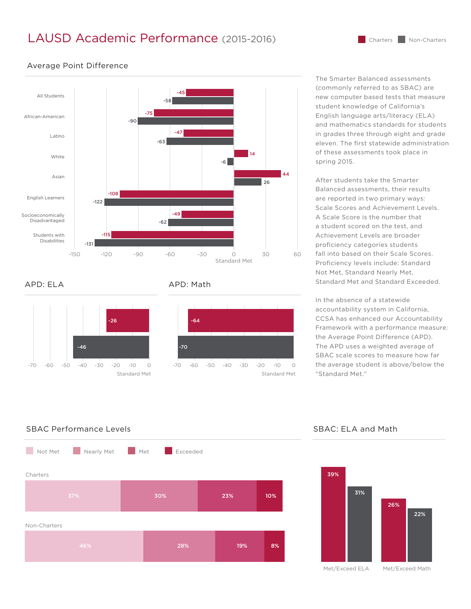# LAUSD Academic Performance (2015-2016)



#### Average Point Difference

#### APD: ELA



#### APD: Math



The Smarter Balanced assessments (commonly referred to as SBAC) are new computer based tests that measure student knowledge of California's English language arts/literacy (ELA) and mathematics standards for students in grades three through eight and grade eleven. The first statewide administration of these assessments took place in spring 2015.

After students take the Smarter Balanced assessments, their results are reported in two primary ways: Scale Scores and Achievement Levels. A Scale Score is the number that a student scored on the test, and Achievement Levels are broader proficiency categories students fall into based on their Scale Scores. Proficiency levels include: Standard Not Met, Standard Nearly Met, Standard Met and Standard Exceeded.

In the absence of a statewide accountability system in California, CCSA has enhanced our Accountability Framework with a performance measure: the Average Point Difference (APD). The APD uses a weighted average of SBAC scale scores to measure how far the average student is above/below the "Standard Met."

### SBAC Performance Levels SBAC: ELA and Math





Met/Exceed ELA

Met/Exceed Math